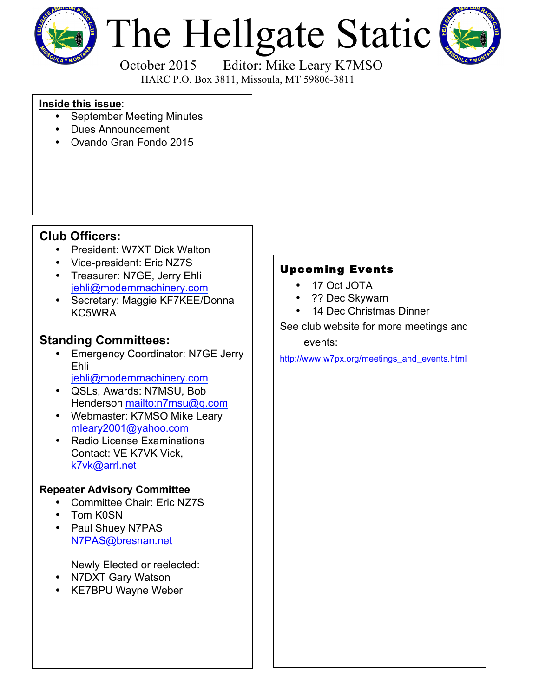

# The Hellgate Static



 October 2015 Editor: Mike Leary K7MSO HARC P.O. Box 3811, Missoula, MT 59806-3811

#### **Inside this issue**:

- September Meeting Minutes
- Dues Announcement
- Ovando Gran Fondo 2015

## **Club Officers:**

- President: W7XT Dick Walton
- Vice-president: Eric NZ7S
- Treasurer: N7GE, Jerry Ehli jehli@modernmachinery.com
- Secretary: Maggie KF7KEE/Donna KC5WRA

## **Standing Committees:**

- **Emergency Coordinator: N7GE Jerry** Ehli
	- jehli@modernmachinery.com
- QSLs, Awards: N7MSU, Bob Henderson mailto:n7msu@q.com
- Webmaster: K7MSO Mike Leary mleary2001@yahoo.com
- Radio License Examinations Contact: VE K7VK Vick, k7vk@arrl.net

#### **Repeater Advisory Committee**

- Committee Chair: Eric NZ7S
- Tom K0SN
- Paul Shuey N7PAS N7PAS@bresnan.net

Newly Elected or reelected:

- N7DXT Gary Watson
- KE7BPU Wayne Weber

# Upcoming Events

- 17 Oct JOTA
- ?? Dec Skywarn
- 14 Dec Christmas Dinner

See club website for more meetings and events:

http://www.w7px.org/meetings\_and\_events.html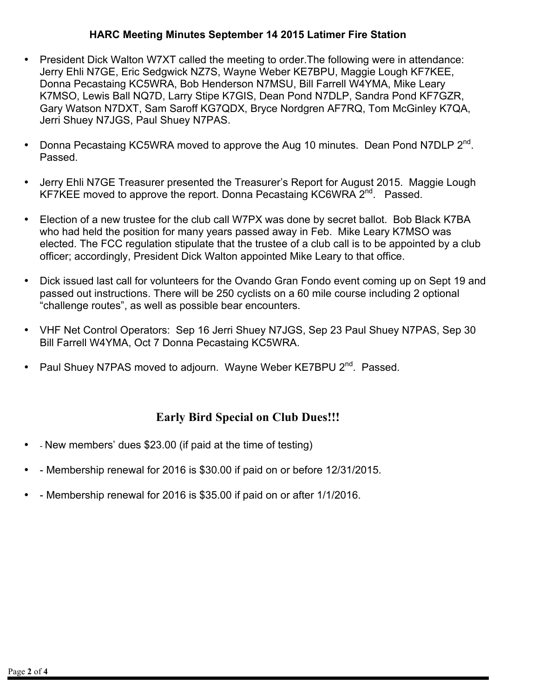#### **HARC Meeting Minutes September 14 2015 Latimer Fire Station**

- President Dick Walton W7XT called the meeting to order.The following were in attendance: Jerry Ehli N7GE, Eric Sedgwick NZ7S, Wayne Weber KE7BPU, Maggie Lough KF7KEE, Donna Pecastaing KC5WRA, Bob Henderson N7MSU, Bill Farrell W4YMA, Mike Leary K7MSO, Lewis Ball NQ7D, Larry Stipe K7GIS, Dean Pond N7DLP, Sandra Pond KF7GZR, Gary Watson N7DXT, Sam Saroff KG7QDX, Bryce Nordgren AF7RQ, Tom McGinley K7QA, Jerri Shuey N7JGS, Paul Shuey N7PAS.
- Donna Pecastaing KC5WRA moved to approve the Aug 10 minutes. Dean Pond N7DLP 2<sup>nd</sup>. Passed.
- Jerry Ehli N7GE Treasurer presented the Treasurer's Report for August 2015. Maggie Lough KF7KEE moved to approve the report. Donna Pecastaing KC6WRA 2<sup>nd</sup>. Passed.
- Election of a new trustee for the club call W7PX was done by secret ballot. Bob Black K7BA who had held the position for many years passed away in Feb. Mike Leary K7MSO was elected. The FCC regulation stipulate that the trustee of a club call is to be appointed by a club officer; accordingly, President Dick Walton appointed Mike Leary to that office.
- Dick issued last call for volunteers for the Ovando Gran Fondo event coming up on Sept 19 and passed out instructions. There will be 250 cyclists on a 60 mile course including 2 optional "challenge routes", as well as possible bear encounters.
- VHF Net Control Operators: Sep 16 Jerri Shuey N7JGS, Sep 23 Paul Shuey N7PAS, Sep 30 Bill Farrell W4YMA, Oct 7 Donna Pecastaing KC5WRA.
- Paul Shuey N7PAS moved to adjourn. Wayne Weber KE7BPU 2<sup>nd</sup>. Passed.

## **Early Bird Special on Club Dues!!!**

- - New members' dues \$23.00 (if paid at the time of testing)
- - Membership renewal for 2016 is \$30.00 if paid on or before 12/31/2015.
- - Membership renewal for 2016 is \$35.00 if paid on or after 1/1/2016.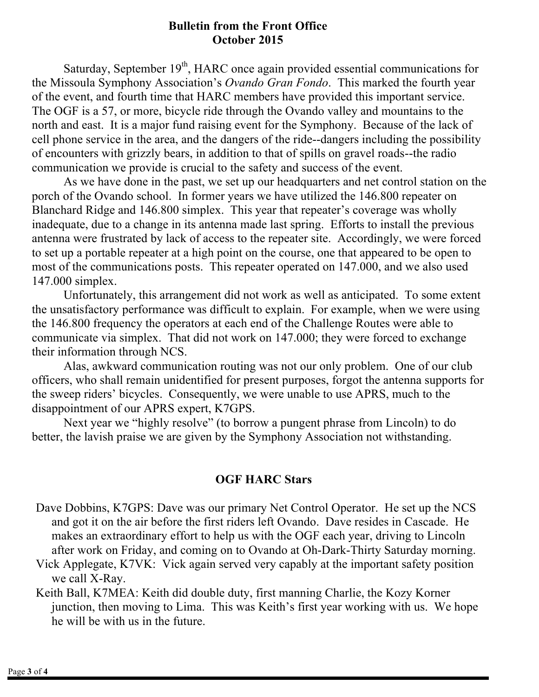#### **Bulletin from the Front Office October 2015**

Saturday, September  $19<sup>th</sup>$ , HARC once again provided essential communications for the Missoula Symphony Association's *Ovando Gran Fondo*. This marked the fourth year of the event, and fourth time that HARC members have provided this important service. The OGF is a 57, or more, bicycle ride through the Ovando valley and mountains to the north and east. It is a major fund raising event for the Symphony. Because of the lack of cell phone service in the area, and the dangers of the ride--dangers including the possibility of encounters with grizzly bears, in addition to that of spills on gravel roads--the radio communication we provide is crucial to the safety and success of the event.

As we have done in the past, we set up our headquarters and net control station on the porch of the Ovando school. In former years we have utilized the 146.800 repeater on Blanchard Ridge and 146.800 simplex. This year that repeater's coverage was wholly inadequate, due to a change in its antenna made last spring. Efforts to install the previous antenna were frustrated by lack of access to the repeater site. Accordingly, we were forced to set up a portable repeater at a high point on the course, one that appeared to be open to most of the communications posts. This repeater operated on 147.000, and we also used 147.000 simplex.

Unfortunately, this arrangement did not work as well as anticipated. To some extent the unsatisfactory performance was difficult to explain. For example, when we were using the 146.800 frequency the operators at each end of the Challenge Routes were able to communicate via simplex. That did not work on 147.000; they were forced to exchange their information through NCS.

Alas, awkward communication routing was not our only problem. One of our club officers, who shall remain unidentified for present purposes, forgot the antenna supports for the sweep riders' bicycles. Consequently, we were unable to use APRS, much to the disappointment of our APRS expert, K7GPS.

Next year we "highly resolve" (to borrow a pungent phrase from Lincoln) to do better, the lavish praise we are given by the Symphony Association not withstanding.

## **OGF HARC Stars**

- Dave Dobbins, K7GPS: Dave was our primary Net Control Operator. He set up the NCS and got it on the air before the first riders left Ovando. Dave resides in Cascade. He makes an extraordinary effort to help us with the OGF each year, driving to Lincoln after work on Friday, and coming on to Ovando at Oh-Dark-Thirty Saturday morning.
- Vick Applegate, K7VK: Vick again served very capably at the important safety position we call X-Ray.
- Keith Ball, K7MEA: Keith did double duty, first manning Charlie, the Kozy Korner junction, then moving to Lima. This was Keith's first year working with us. We hope he will be with us in the future.